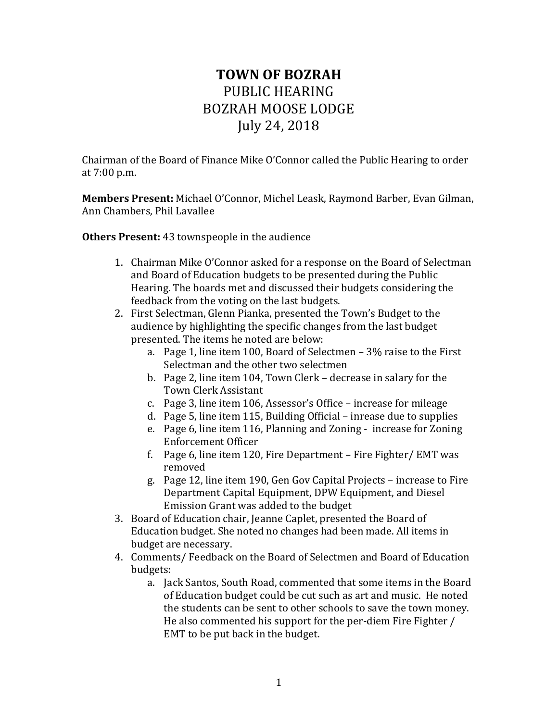## **TOWN OF BOZRAH** PUBLIC HEARING BOZRAH MOOSE LODGE July 24, 2018

Chairman of the Board of Finance Mike O'Connor called the Public Hearing to order at 7:00 p.m.

**Members Present:** Michael O'Connor, Michel Leask, Raymond Barber, Evan Gilman, Ann Chambers, Phil Lavallee

**Others Present:** 43 townspeople in the audience

- 1. Chairman Mike O'Connor asked for a response on the Board of Selectman and Board of Education budgets to be presented during the Public Hearing. The boards met and discussed their budgets considering the feedback from the voting on the last budgets.
- 2. First Selectman, Glenn Pianka, presented the Town's Budget to the audience by highlighting the specific changes from the last budget presented. The items he noted are below:
	- a. Page 1, line item 100, Board of Selectmen 3% raise to the First Selectman and the other two selectmen
	- b. Page 2, line item 104, Town Clerk decrease in salary for the Town Clerk Assistant
	- c. Page 3, line item 106, Assessor's Office increase for mileage
	- d. Page 5, line item 115, Building Official inrease due to supplies
	- e. Page 6, line item 116, Planning and Zoning increase for Zoning Enforcement Officer
	- f. Page 6, line item 120, Fire Department Fire Fighter/ EMT was removed
	- g. Page 12, line item 190, Gen Gov Capital Projects increase to Fire Department Capital Equipment, DPW Equipment, and Diesel Emission Grant was added to the budget
- 3. Board of Education chair, Jeanne Caplet, presented the Board of Education budget. She noted no changes had been made. All items in budget are necessary.
- 4. Comments/ Feedback on the Board of Selectmen and Board of Education budgets:
	- a. Jack Santos, South Road, commented that some items in the Board of Education budget could be cut such as art and music. He noted the students can be sent to other schools to save the town money. He also commented his support for the per-diem Fire Fighter / EMT to be put back in the budget.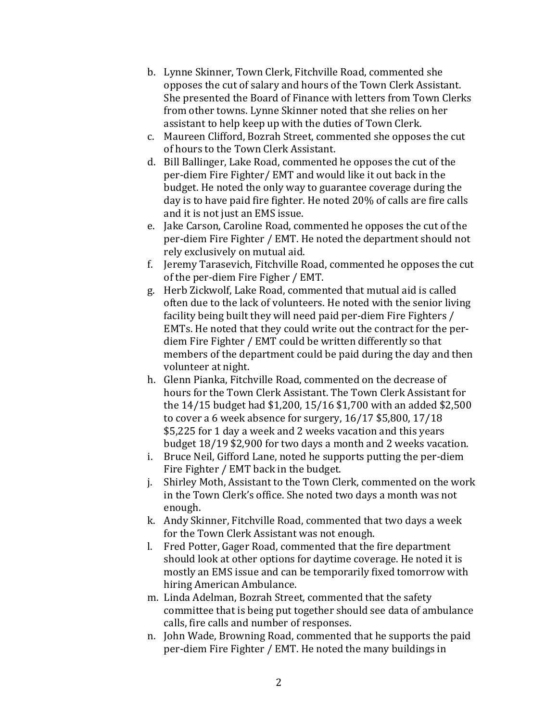- b. Lynne Skinner, Town Clerk, Fitchville Road, commented she opposes the cut of salary and hours of the Town Clerk Assistant. She presented the Board of Finance with letters from Town Clerks from other towns. Lynne Skinner noted that she relies on her assistant to help keep up with the duties of Town Clerk.
- c. Maureen Clifford, Bozrah Street, commented she opposes the cut of hours to the Town Clerk Assistant.
- d. Bill Ballinger, Lake Road, commented he opposes the cut of the per-diem Fire Fighter/ EMT and would like it out back in the budget. He noted the only way to guarantee coverage during the day is to have paid fire fighter. He noted 20% of calls are fire calls and it is not just an EMS issue.
- e. Jake Carson, Caroline Road, commented he opposes the cut of the per-diem Fire Fighter / EMT. He noted the department should not rely exclusively on mutual aid.
- f. Jeremy Tarasevich, Fitchville Road, commented he opposes the cut of the per-diem Fire Figher / EMT.
- g. Herb Zickwolf, Lake Road, commented that mutual aid is called often due to the lack of volunteers. He noted with the senior living facility being built they will need paid per-diem Fire Fighters / EMTs. He noted that they could write out the contract for the perdiem Fire Fighter / EMT could be written differently so that members of the department could be paid during the day and then volunteer at night.
- h. Glenn Pianka, Fitchville Road, commented on the decrease of hours for the Town Clerk Assistant. The Town Clerk Assistant for the 14/15 budget had \$1,200, 15/16 \$1,700 with an added \$2,500 to cover a 6 week absence for surgery, 16/17 \$5,800, 17/18 \$5,225 for 1 day a week and 2 weeks vacation and this years budget 18/19 \$2,900 for two days a month and 2 weeks vacation.
- i. Bruce Neil, Gifford Lane, noted he supports putting the per-diem Fire Fighter / EMT back in the budget.
- j. Shirley Moth, Assistant to the Town Clerk, commented on the work in the Town Clerk's office. She noted two days a month was not enough.
- k. Andy Skinner, Fitchville Road, commented that two days a week for the Town Clerk Assistant was not enough.
- l. Fred Potter, Gager Road, commented that the fire department should look at other options for daytime coverage. He noted it is mostly an EMS issue and can be temporarily fixed tomorrow with hiring American Ambulance.
- m. Linda Adelman, Bozrah Street, commented that the safety committee that is being put together should see data of ambulance calls, fire calls and number of responses.
- n. John Wade, Browning Road, commented that he supports the paid per-diem Fire Fighter / EMT. He noted the many buildings in